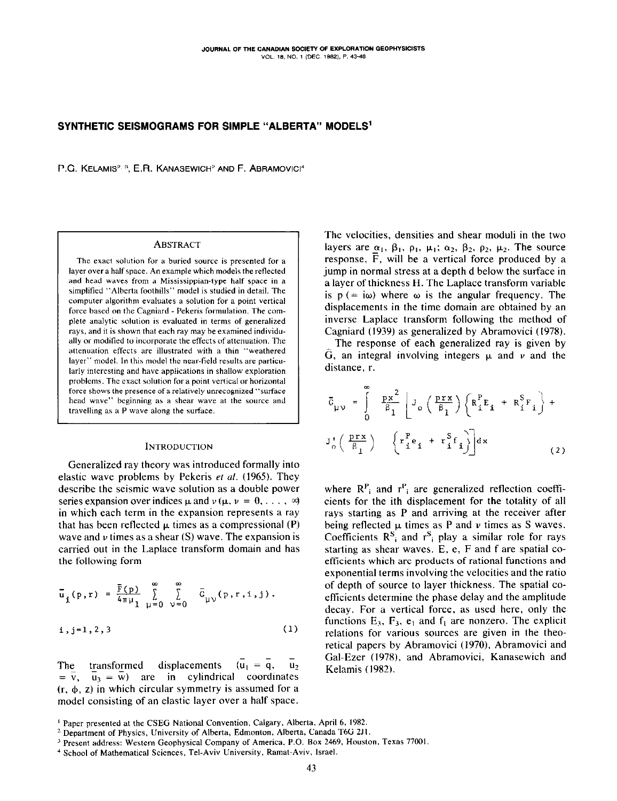## SYNTHETIC SEISMOGRAMS FOR SIMPLE "ALBERTA" MODELS'

P.G. KELAMIS<sup>2, 3</sup>, E.R. KANASEWICH<sup>2</sup> AND F. ABRAMOVICI<sup>4</sup>

### ABSTRACT

The exact solution for a buried source is presented for a layer over a half space. An example which models the reflected and head waves from a Mississippian-type half space in a simplified "Alberta foothills" model is studied in detail. The computer algorithm evaluates a solution for a point vertical force based on the Cagniard - Pekeris formulation. The complete analytic solution is evaluated in terms of generalized rays, and it is shown that each ray may be examined individually or modified to incorporate the effects of attenuation. The attenuation effects are illustrated with a thin "weathered layer" model. In this model the near-field results are particularly interesting and have applications in shallow exploration problems. The exact solution for a point vertical or horizontal force shows the presence of a relatively unrecognized "surface head wave" beginning as a shear wave at the source and travelling as a P wave along the surface.

## INTRODUCTION

Generalized ray theory was introduced formally into elastic wave problems by Pekeris ef al. (1965). They describe the seismic wave solution as a double power series expansion over indices  $\mu$  and  $\nu$  ( $\mu$ ,  $\nu = 0, \ldots, \infty$ ) in which each term in the expansion represents a ray that has been reflected  $\mu$  times as a compressional (P) wave and  $\nu$  times as a shear (S) wave. The expansion is carried out in the Laplace transform domain and has the following form

$$
\overline{u}_{i}(p,r) = \frac{\overline{r}(p)}{4\pi\mu_{1}} \sum_{\mu=0}^{\infty} \sum_{\nu=0}^{\infty} \overline{G}_{\mu\nu}(p,r,i,j).
$$
\n  
\ni, j=1,2,3 (1)

The transformed displacements  $(\overline{u}_1 = \overline{q}, \overline{u}_2)$  $\overline{v}$ ,  $\overline{u}_3 = \overline{w}$  are in cylindrical coordinates  $(r, \phi, z)$  in which circular symmetry is assumed for a model consisting of an elastic layer over a half space.

The velocities, densities and shear moduli in the two layers are  $\alpha_1$ ,  $\beta_1$ ,  $\rho_1$ ,  $\mu_1$ ;  $\alpha_2$ ,  $\beta_2$ ,  $\rho_2$ ,  $\mu_2$ . The source response,  $\overline{F}$ , will be a vertical force produced by a jump in normal stress at a depth d below the surface in a layer of thickness H. The Laplace transform variable is  $p (= i\omega)$  where  $\omega$  is the angular frequency. The displacements in the time domain are obtained by an inverse Laplace transform following the method of Cagniard (1939) as generalized by Abramovici (1978).

The response of each generalized ray is given by G, an integral involving integers  $\mu$  and  $\nu$  and the distance, r.

$$
\overline{C}_{\mu\nu} = \int_{0}^{\infty} \frac{px^{2}}{\beta_{1}} \left[ J_{o} \left( \frac{prx}{\beta_{1}} \right) \left( R_{i}^{P}E_{i} + R_{i}^{S}F_{i} \right) + \right.
$$
  

$$
J_{o}^{\dagger} \left( \frac{prx}{\beta_{1}} \right) \left\{ r_{i}^{P}e_{i} + r_{i}^{S}f_{i} \right\} \right] dx
$$
 (2)

where  $R_{i}^{P}$  and  $r_{i}^{P}$  are generalized reflection coefficients for the ith displacement for the totality of all rays starting as P and arriving at the receiver after being reflected  $\mu$  times as P and  $\nu$  times as S waves. Coefficients  $R^S$  and  $r^S$  play a similar role for rays starting as shear waves.  $E$ ,  $e$ ,  $F$  and  $f$  are spatial coefficients which are products of rational functions and exponential terms involving the velocities and the ratio of depth of source to layer thickness. The spatial coefficients determine the phase delay and the amplitude decay. For a vertical force, as used here. only the functions  $E_3$ ,  $F_3$ ,  $e_1$  and  $f_1$  are nonzero. The explicit relations for various sources are given in the theoretical papers by Abramovici (1970), Abramovici and Gal-Ezer (1978), and Abramovici, Kanasewich and Kelamis (1982).

<sup>&</sup>lt;sup>1</sup> Paper presented at the CSEG National Convention, Calgary, Alberta, April 6, 1982.

<sup>&</sup>lt;sup>2</sup> Department of Physics, University of Alberta, Edmonton, Alberta, Canada T6G 2J1.

<sup>&</sup>lt;sup>3</sup> Present address: Western Geophysical Company of America, P.O. Box 2469, Houston, Texas 77001.

<sup>&</sup>lt;sup>4</sup> School of Mathematical Sciences, Tel-Aviv University, Ramat-Aviv, Israel.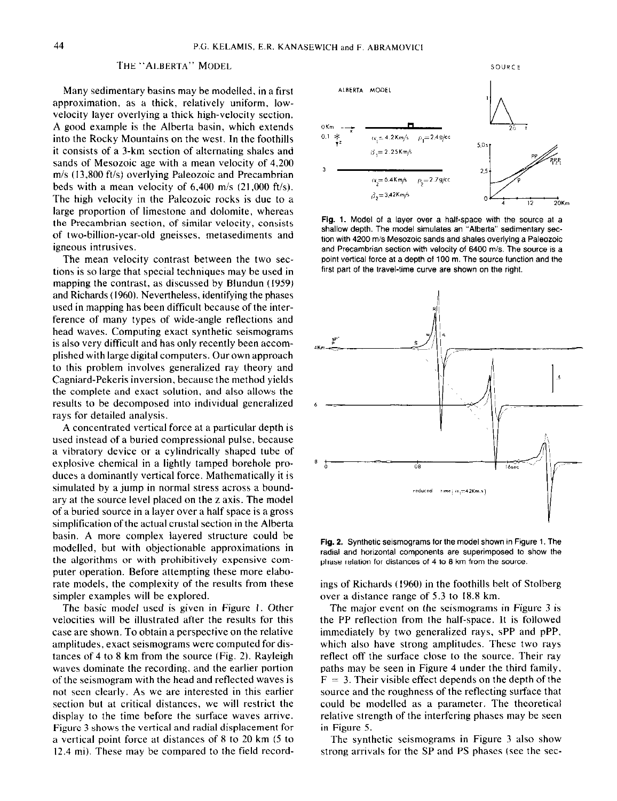# THE "ALBERTA" MODEL

Many sedimentary basins may be modelled, in a first approximation, as a thick, relatively uniform, lowvelocity layer overlying a thick high-velocity section. A good example is the Alberta basin, which extends into the Rocky Mountains on the west. In the foothills it consists of a 3.km section of alternating shales and sands of Mesozoic age with a mean velocity of 4,200  $m/s$  (13,800 ft/s) overlying Paleozoic and Precambrian beds with a mean velocity of  $6,400$  m/s  $(21,000)$  ft/s). The high velocity in the Paleozoic rocks is due to a large proportion of limestone and dolomite, whereas the Precambrian section, of similar velocity, consists of two-billion-year-old gneisses, metasediments and igneous intrusives.

The mean velocity contrast between the two sections is so large that special techniques may be used in mapping the contrast, as discussed by Blundun (1959) and Richards (1960). Nevertheless, identifying the phases used in mapping has been difficult because of the interference of many types of wide-angle reflections and head waves. Computing exact synthetic seismograms is also very difficult and has only recently been accomplished with large digital computers. Our own approach to this problem involves generalized ray theory and Cagniard-Pekeris inversion, because the method yields the complete and exact solution, and also allows the results to be decomposed into individual generalized rays for detailed analysis.

A concentrated vertical force at a particular depth is used instead of a buried compressional pulse, because a vibratory device or a cylindrically shaped tube of explosive chemical in a lightly tamped borehole produces a dominantly vertical force. Mathematically it is simulated by a jump in normal stress across a boundary at the source level placed on the z axis. The model of a buried source in a layer over a half space is a gross simplification of the actual crustal section in the Alberta basin. A more complex layered structure could be modelled, but with objectionable approximations in the algorithms or with prohibitively expensive computer operation. Before attempting these more elaborate models, the complexity of the results from these simpler examples will be explored.

The basic model used is given in Figure I. Other velocities will be illustrated after the results for this case are shown. To obtain a perspective on the relative amplitudes, exact seismograms were computed for distances of 4 to 8 km from the source (Fig. 2). Rayleigh waves dominate the recording. and the earlier portion of the seismogram with the head and reflected waves is not seen clearly. As we are interested in this earlier section but at critical distances, we will restrict the display to the time before the surface waves arrive. Figure 3 shows the vertical and radial displacement for a vertical point force at distances of 8 to 20 km (5 to 12.4 mi). These may be compared to the field record-



Fig. 1. Model of a layer over a half-space with the source at a shallow depth. The model simulates an "Alberta" sedimentary section with 4200 m/s Mesozoic sands and shales overlying a Paleozoic and Precambrian section with velocity of 6400 m/s. The source is a point vertical force at a depth of 100 m. The source function and the first part of the travel-time curve are shown on the right.



Fig. 2. Synthetic seismograms for the model shown in Figure 1. The radial and horizontal components are superimposed to show the phase relation for distances of 4 to 8 km from the source.

ings of Richards (1960) in the foothills belt of Stolberg over a distance range of 5.3 to 18.8 km.

The major event on the seismograms in Figure 3 is the PP reflection from the half-space. It is followed immediately by two generalized rays, sPP and pPP, which also have strong amplitudes. These two rays reflect off the surface close to the source. Their ray paths may be seen in Figure 4 under the third family.  $F = 3$ . Their visible effect depends on the depth of the source and the roughness of the reflecting surface that could be modelled as a parameter. The theoretical relative strength of the interfering phases may be seen in Figure 5.

The synthetic seismograms in Figure 3 also show strong arrivals for the SP and PS phases (see the sec-

SOURCE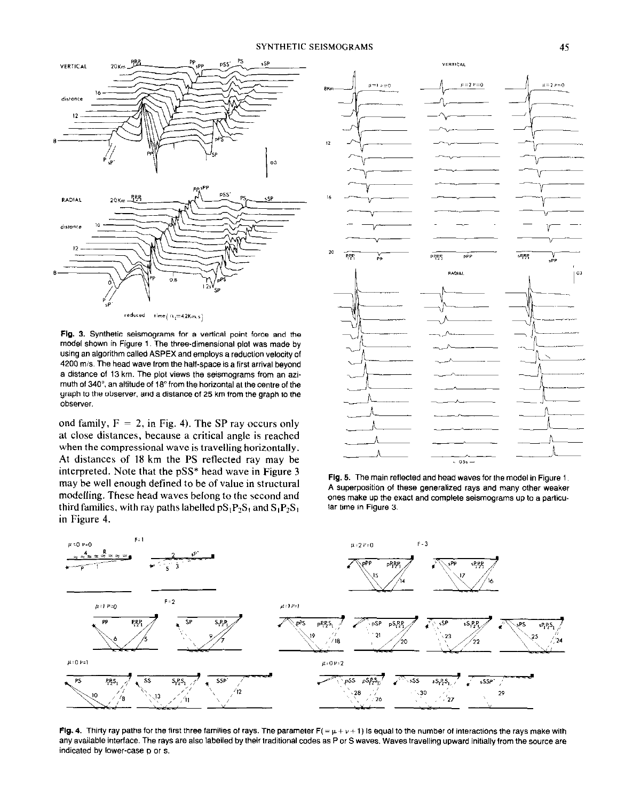

Fig. 3. Synthetic seismograms for a vertical point force and the model shown in Figure 1. The three.dimensional plot was made by using an algorithm called ASPEX and employs a reduction velocity of 4200 m/s. The head wave from the half-space is a first arrival beyond a distance of 13 km. The plot views the seismograms from an azimuth of 340". an altitude of IS" from the horizontal at the centre of the graph to the observer, and a distance of 25 km from the graph to the obsewer.

ond family,  $F = 2$ , in Fig. 4). The SP ray occurs only at close distances, because a critical angle is reached when the compressional wave is travelling horizontally. At distances of I8 km the PS reflected ray may be interpreted. Note that the pSS\* head wave in Figure 3 may be well enough defined to be of value in structural modelling. These head waves belong to the second and third families, with ray paths labelled  $pS_1P_2S_1$  and  $S_1P_2S_1$ in Figure 4.



Fig. 5. The main reflected and head waves for the model in Figure 1. A superposition of these generalized rays and many other weaker ones make up the exact and complete seismograms up to a particular time in Figure 3.



Fig. 4. Thirty ray paths for the first three families of rays. The parameter  $F( = \mu + \nu + 1)$  is equal to the number of interactions the rays make with any available interface. The rays are also labelled by their traditional codes as P or S waves. Waves travelling upward initially from the source are indicated by lower-case p or s.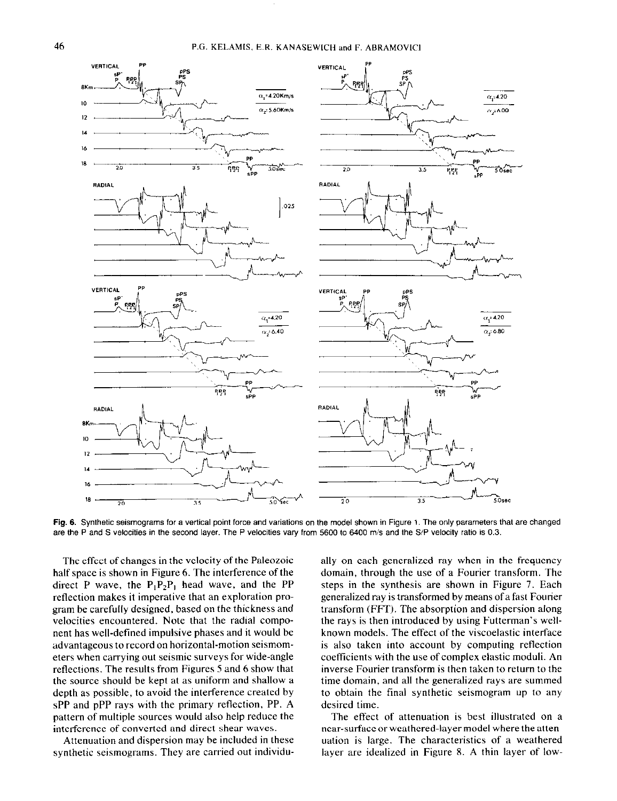

Fig. 6. Synthetic seismograms for a vertical point force and variations on the model shown in Figure 1. The only parameters that are changed are the P and S velocities in the second layer. The P velocities vary from 5600 to 6400 m/s and the S/P velocity ratio is 0.3.

The effect of changes in the velocity of the Paleozoic half space is shown in Figure 6. The interference of the direct P wave, the  $P_1P_2P_1$  head wave, and the PP reflection makes it imperative that an exploration program be carefully designed, based on the thickness and velocities encountered. Note that the radial component has well-defined impulsive phases and it would be advantageous to record on horizontal-motion seismometers when carrying out seismic surveys for wide-angle reflections. The results from Figures 5 and 6 show that the source should be kept at as uniform and shallow a depth as possible, to avoid the interference created by sPP and pPP rays with the primary reflection, PP. A pattern of multiple sources would also help reduce the interference of converted and direct shear waves.

Attenuation and dispersion may be included in these synthetic seismograms. They are carried out individually on each generalized ray when in the frequency domain, through the use of a Fourier transform. The steps in the synthesis are shown in Figure 7. Each generalized ray is transformed by means of a fast Fourier transform (FFT). The absorption and dispersion along the rays is then introduced by using Futterman's wellknown models. The effect of the viscoelastic interface is also taken into account by computing reflection coefficients with the use of complex elastic moduli. An inverse Fourier transform is then taken to return to the time domain, and all the generalized rays are summed to obtain the final synthetic seismogram up to any desired time.

The effect of attenuation is best illustrated on a near-surface or weathered-layer model where the attenuation is large. The characteristics of a weathered layer are idealized in Figure 8. A thin layer of low-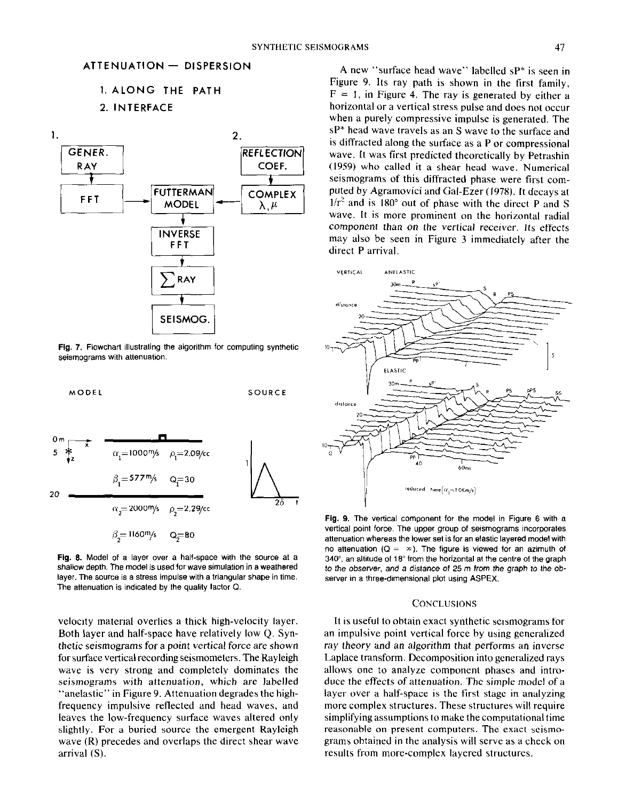# 1. ALONG THE PATH 2. INTERFACE



Fig. 7. Flowchart illustrating the algorithm for computing synthetic seismograms with attenuation.



Fig. 8. Model of a layer over a half-space with the source at a shallow depth. The model is used for wave simulation in a weathered layer. The source is a stress impulse with a triangular shape in time. The attenuation is indicated by the quality factor 0.

velocity material overlies a thick high-velocity layer. Both layer and half-space have relatively low Q. Synthetic seismograms for a point vertical force are shown for surface vertical recording seismometers. The Rayleigh wave is very strong and completely dominates the seismograms with attenuation, which arc labelled "anelastic" in Figure 9. Attenuation degrades the highfrequency impulsive reflected and head waves, and leaves the low-frequency surface waves altered only slightly. For a buried source the emergent Rayleigh wave (R) precedes and overlaps the direct shear wave arrival (S).

A new "surface head wave" labelled sP\* is seen in Figure 9. Its ray path is shown in the first family,  $F = 1$ , in Figure 4. The ray is generated by either a horizontal or a vertical stress pulse and does not occur when a purely compressive impulse is generated. The sP\* head wave travels as an S wave to the surface and is diffracted along the surface as a P or compressional wave. It was first predicted theoretically by Petrashin (19S9) who called it a shear head wave. Numerical seismograms of this diffracted phase were first computed by Agramovici and Gal-Ezer (1978). It decays at  $1/r^2$  and is 180 $\degree$  out of phase with the direct P and S wave. It is more prominent on the horizontal radial component than on the vertical receiver. Its effects may also be seen in Figure 3 immediately after the direct P arrival.



Fig. 9. The vertical component for the model in Figure 6 with a vertical point force. The upper group of seismograms incorporates attenuation whereas the lower set is for an elastic layered model with no attenuation ( $Q = \infty$ ). The figure is viewed for an azimuth of 34o', an altitude of 18" from the horizontal at the centre of the graph to the observer, and a distance of 25 m from the graph to the observer in a three-dimensional plot using ASPEX.

## **CONCLUSIONS**

It is useful to obtain exact synthetic seismograms for an impulsive point vertical force by using generalized ray theory and an algorithm that performs an inverse Laplace transform. Decomposition into generalized rays allows one to analyze component phases and introduce the effects of attenuation. The simple model of a layer over a half-space is the first stage in analyzing more complex structures. These structures will require simplifying assumptions to make the computational time reasonable on present computers. The exact seismograms obtained in the analysis will serve as a check on results from more-complex layered structures.